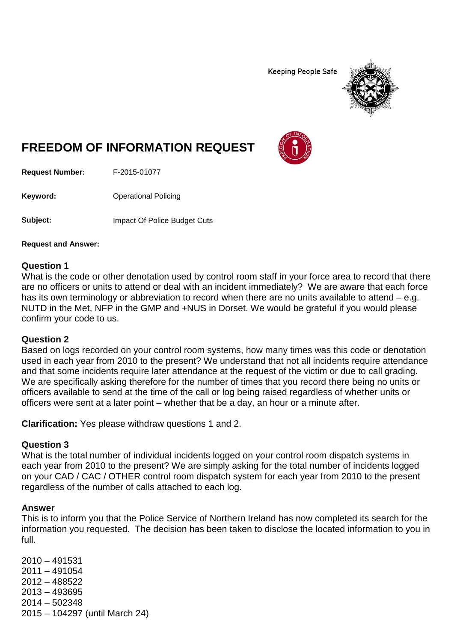**Keeping People Safe** 



# **FREEDOM OF INFORMATION REQUEST**

**Request Number:** F-2015-01077

**Keyword:** Operational Policing

**Subject:** Impact Of Police Budget Cuts

**Request and Answer:**

#### **Question 1**

What is the code or other denotation used by control room staff in your force area to record that there are no officers or units to attend or deal with an incident immediately? We are aware that each force has its own terminology or abbreviation to record when there are no units available to attend – e.g. NUTD in the Met, NFP in the GMP and +NUS in Dorset. We would be grateful if you would please confirm your code to us.

### **Question 2**

Based on logs recorded on your control room systems, how many times was this code or denotation used in each year from 2010 to the present? We understand that not all incidents require attendance and that some incidents require later attendance at the request of the victim or due to call grading. We are specifically asking therefore for the number of times that you record there being no units or officers available to send at the time of the call or log being raised regardless of whether units or officers were sent at a later point – whether that be a day, an hour or a minute after.

**Clarification:** Yes please withdraw questions 1 and 2.

### **Question 3**

What is the total number of individual incidents logged on your control room dispatch systems in each year from 2010 to the present? We are simply asking for the total number of incidents logged on your CAD / CAC / OTHER control room dispatch system for each year from 2010 to the present regardless of the number of calls attached to each log.

### **Answer**

This is to inform you that the Police Service of Northern Ireland has now completed its search for the information you requested. The decision has been taken to disclose the located information to you in full.

2010 – 491531 2011 – 491054 2012 – 488522 2013 – 493695 2014 – 502348 2015 – 104297 (until March 24)